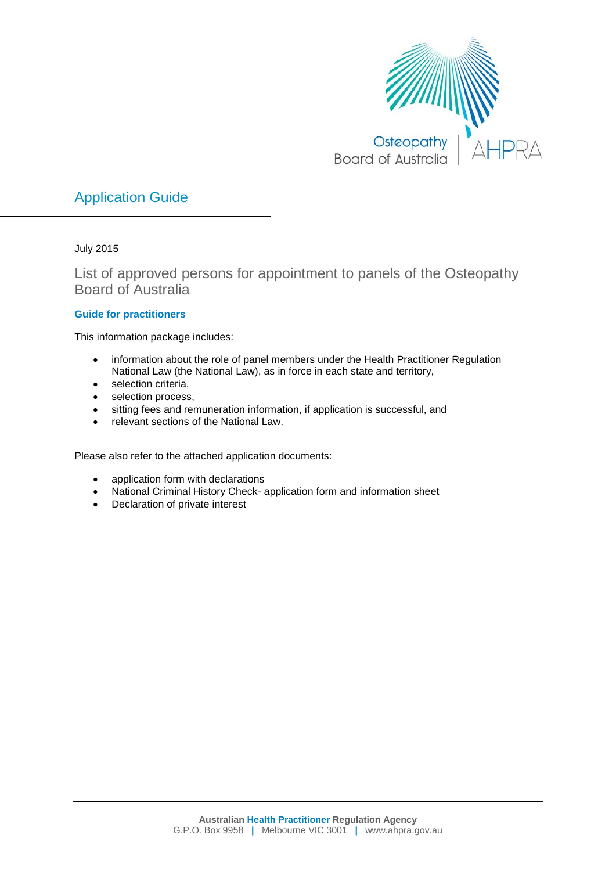

# Application Guide

July 2015

List of approved persons for appointment to panels of the Osteopathy Board of Australia

## **Guide for practitioners**

This information package includes:

- information about the role of panel members under the Health Practitioner Regulation National Law (the National Law), as in force in each state and territory,
- selection criteria,
- selection process,
- sitting fees and remuneration information, if application is successful, and
- relevant sections of the National Law.

Please also refer to the attached application documents:

- application form with declarations
- National Criminal History Check- application form and information sheet
- Declaration of private interest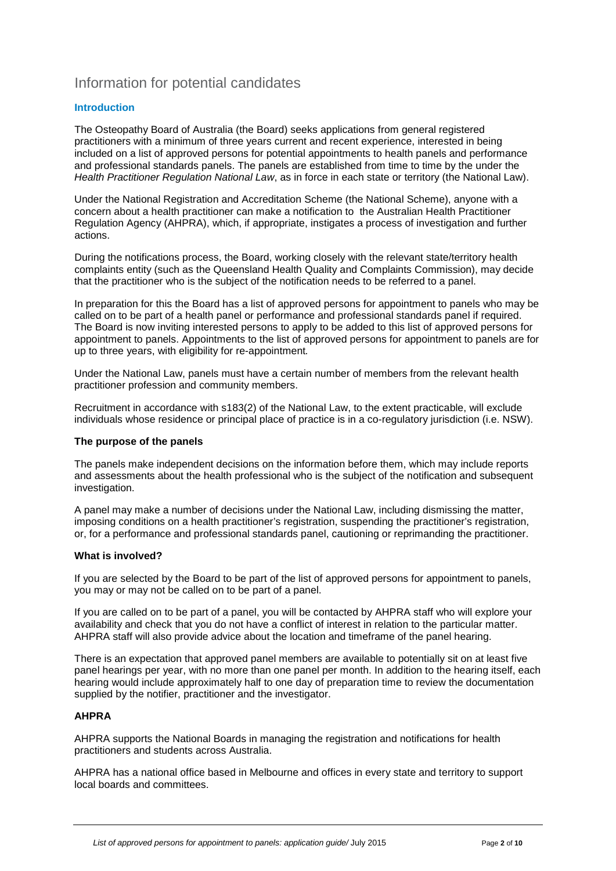## Information for potential candidates

## **Introduction**

The Osteopathy Board of Australia (the Board) seeks applications from general registered practitioners with a minimum of three years current and recent experience, interested in being included on a list of approved persons for potential appointments to health panels and performance and professional standards panels. The panels are established from time to time by the under the *Health Practitioner Regulation National Law*, as in force in each state or territory (the National Law).

Under the National Registration and Accreditation Scheme (the National Scheme), anyone with a concern about a health practitioner can make a notification to the Australian Health Practitioner Regulation Agency (AHPRA), which, if appropriate, instigates a process of investigation and further actions.

During the notifications process, the Board, working closely with the relevant state/territory health complaints entity (such as the Queensland Health Quality and Complaints Commission), may decide that the practitioner who is the subject of the notification needs to be referred to a panel.

In preparation for this the Board has a list of approved persons for appointment to panels who may be called on to be part of a health panel or performance and professional standards panel if required. The Board is now inviting interested persons to apply to be added to this list of approved persons for appointment to panels. Appointments to the list of approved persons for appointment to panels are for up to three years, with eligibility for re-appointment*.*

Under the National Law, panels must have a certain number of members from the relevant health practitioner profession and community members.

Recruitment in accordance with s183(2) of the National Law, to the extent practicable, will exclude individuals whose residence or principal place of practice is in a co-regulatory jurisdiction (i.e. NSW).

#### **The purpose of the panels**

The panels make independent decisions on the information before them, which may include reports and assessments about the health professional who is the subject of the notification and subsequent investigation.

A panel may make a number of decisions under the National Law, including dismissing the matter, imposing conditions on a health practitioner's registration, suspending the practitioner's registration, or, for a performance and professional standards panel, cautioning or reprimanding the practitioner.

#### **What is involved?**

If you are selected by the Board to be part of the list of approved persons for appointment to panels, you may or may not be called on to be part of a panel.

If you are called on to be part of a panel, you will be contacted by AHPRA staff who will explore your availability and check that you do not have a conflict of interest in relation to the particular matter. AHPRA staff will also provide advice about the location and timeframe of the panel hearing.

There is an expectation that approved panel members are available to potentially sit on at least five panel hearings per year, with no more than one panel per month. In addition to the hearing itself, each hearing would include approximately half to one day of preparation time to review the documentation supplied by the notifier, practitioner and the investigator.

#### **AHPRA**

AHPRA supports the National Boards in managing the registration and notifications for health practitioners and students across Australia.

AHPRA has a national office based in Melbourne and offices in every state and territory to support local boards and committees.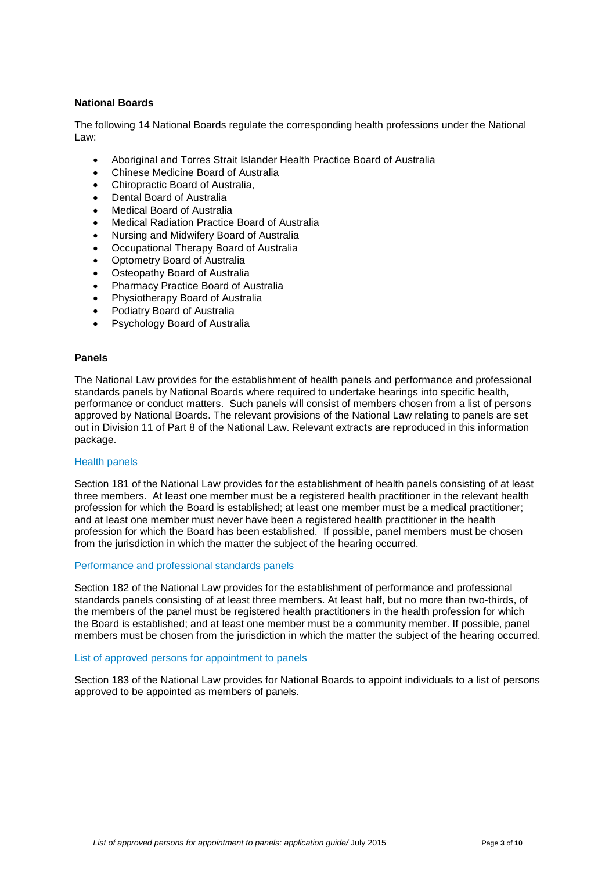## **National Boards**

The following 14 National Boards regulate the corresponding health professions under the National Law:

- Aboriginal and Torres Strait Islander Health Practice Board of Australia
- Chinese Medicine Board of Australia
- Chiropractic Board of Australia,
- Dental Board of Australia
- Medical Board of Australia
- Medical Radiation Practice Board of Australia
- Nursing and Midwifery Board of Australia
- Occupational Therapy Board of Australia
- Optometry Board of Australia
- Osteopathy Board of Australia
- Pharmacy Practice Board of Australia
- Physiotherapy Board of Australia
- Podiatry Board of Australia
- Psychology Board of Australia

#### **Panels**

The National Law provides for the establishment of health panels and performance and professional standards panels by National Boards where required to undertake hearings into specific health, performance or conduct matters. Such panels will consist of members chosen from a list of persons approved by National Boards. The relevant provisions of the National Law relating to panels are set out in Division 11 of Part 8 of the National Law. Relevant extracts are reproduced in this information package.

#### Health panels

Section 181 of the National Law provides for the establishment of health panels consisting of at least three members. At least one member must be a registered health practitioner in the relevant health profession for which the Board is established; at least one member must be a medical practitioner; and at least one member must never have been a registered health practitioner in the health profession for which the Board has been established. If possible, panel members must be chosen from the jurisdiction in which the matter the subject of the hearing occurred.

#### Performance and professional standards panels

Section 182 of the National Law provides for the establishment of performance and professional standards panels consisting of at least three members. At least half, but no more than two-thirds, of the members of the panel must be registered health practitioners in the health profession for which the Board is established; and at least one member must be a community member. If possible, panel members must be chosen from the jurisdiction in which the matter the subject of the hearing occurred.

#### List of approved persons for appointment to panels

Section 183 of the National Law provides for National Boards to appoint individuals to a list of persons approved to be appointed as members of panels.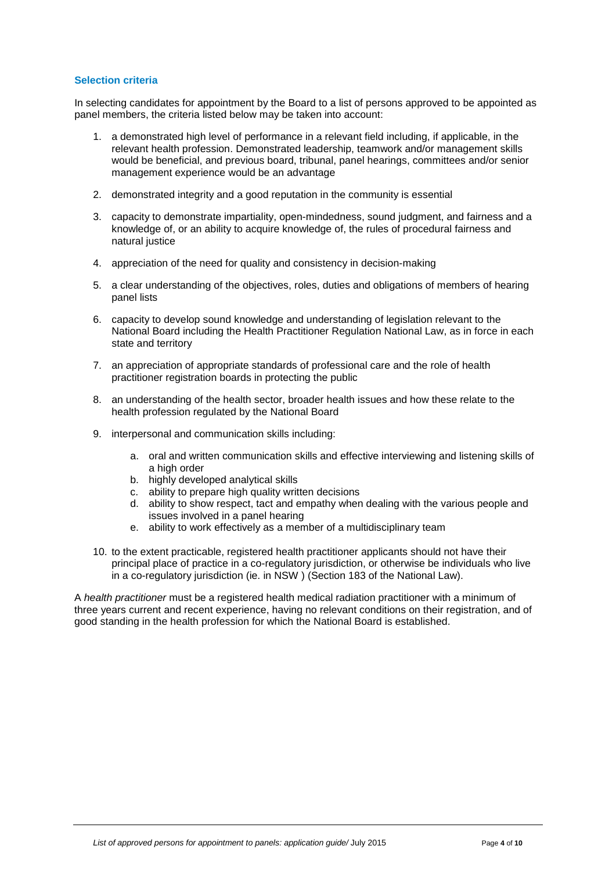## **Selection criteria**

In selecting candidates for appointment by the Board to a list of persons approved to be appointed as panel members, the criteria listed below may be taken into account:

- 1. a demonstrated high level of performance in a relevant field including, if applicable, in the relevant health profession. Demonstrated leadership, teamwork and/or management skills would be beneficial, and previous board, tribunal, panel hearings, committees and/or senior management experience would be an advantage
- 2. demonstrated integrity and a good reputation in the community is essential
- 3. capacity to demonstrate impartiality, open-mindedness, sound judgment, and fairness and a knowledge of, or an ability to acquire knowledge of, the rules of procedural fairness and natural justice
- 4. appreciation of the need for quality and consistency in decision-making
- 5. a clear understanding of the objectives, roles, duties and obligations of members of hearing panel lists
- 6. capacity to develop sound knowledge and understanding of legislation relevant to the National Board including the Health Practitioner Regulation National Law, as in force in each state and territory
- 7. an appreciation of appropriate standards of professional care and the role of health practitioner registration boards in protecting the public
- 8. an understanding of the health sector, broader health issues and how these relate to the health profession regulated by the National Board
- 9. interpersonal and communication skills including:
	- a. oral and written communication skills and effective interviewing and listening skills of a high order
	- b. highly developed analytical skills
	- c. ability to prepare high quality written decisions
	- d. ability to show respect, tact and empathy when dealing with the various people and issues involved in a panel hearing
	- e. ability to work effectively as a member of a multidisciplinary team
- 10. to the extent practicable, registered health practitioner applicants should not have their principal place of practice in a co-regulatory jurisdiction, or otherwise be individuals who live in a co-regulatory jurisdiction (ie. in NSW ) (Section 183 of the National Law).

A *health practitioner* must be a registered health medical radiation practitioner with a minimum of three years current and recent experience, having no relevant conditions on their registration, and of good standing in the health profession for which the National Board is established.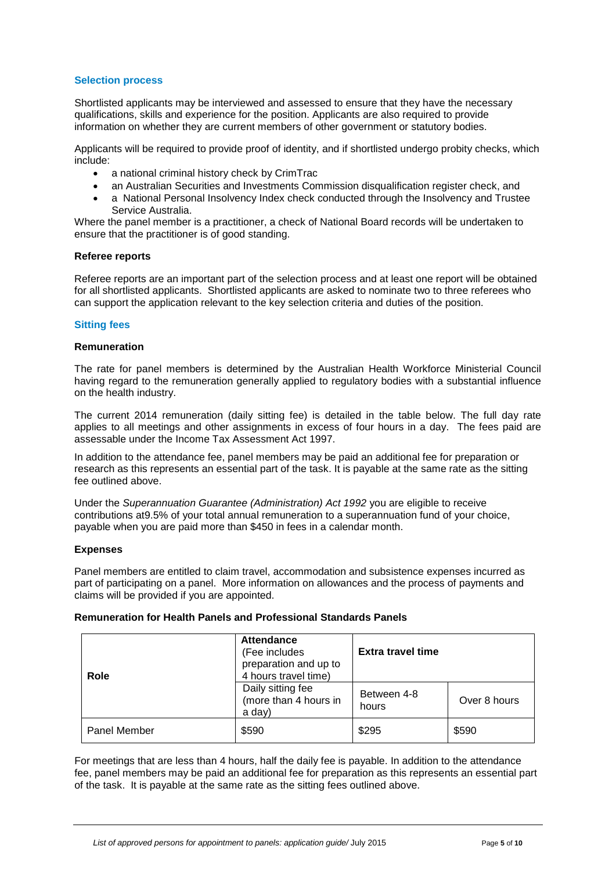## **Selection process**

Shortlisted applicants may be interviewed and assessed to ensure that they have the necessary qualifications, skills and experience for the position. Applicants are also required to provide information on whether they are current members of other government or statutory bodies.

Applicants will be required to provide proof of identity, and if shortlisted undergo probity checks, which include:

- a national criminal history check by CrimTrac
- an Australian Securities and Investments Commission disqualification register check, and
- a National Personal Insolvency Index check conducted through the Insolvency and Trustee Service Australia.

Where the panel member is a practitioner, a check of National Board records will be undertaken to ensure that the practitioner is of good standing.

#### **Referee reports**

Referee reports are an important part of the selection process and at least one report will be obtained for all shortlisted applicants. Shortlisted applicants are asked to nominate two to three referees who can support the application relevant to the key selection criteria and duties of the position.

#### **Sitting fees**

#### **Remuneration**

The rate for panel members is determined by the Australian Health Workforce Ministerial Council having regard to the remuneration generally applied to regulatory bodies with a substantial influence on the health industry.

The current 2014 remuneration (daily sitting fee) is detailed in the table below. The full day rate applies to all meetings and other assignments in excess of four hours in a day. The fees paid are assessable under the Income Tax Assessment Act 1997.

In addition to the attendance fee, panel members may be paid an additional fee for preparation or research as this represents an essential part of the task. It is payable at the same rate as the sitting fee outlined above.

Under the *Superannuation Guarantee (Administration) Act 1992* you are eligible to receive contributions at9.5% of your total annual remuneration to a superannuation fund of your choice, payable when you are paid more than \$450 in fees in a calendar month.

#### **Expenses**

Panel members are entitled to claim travel, accommodation and subsistence expenses incurred as part of participating on a panel. More information on allowances and the process of payments and claims will be provided if you are appointed.

#### **Remuneration for Health Panels and Professional Standards Panels**

| Role                | <b>Attendance</b><br>(Fee includes<br>preparation and up to<br>4 hours travel time) | <b>Extra travel time</b> |              |
|---------------------|-------------------------------------------------------------------------------------|--------------------------|--------------|
|                     | Daily sitting fee<br>(more than 4 hours in<br>a day)                                | Between 4-8<br>hours     | Over 8 hours |
| <b>Panel Member</b> | \$590                                                                               | \$295                    | \$590        |

For meetings that are less than 4 hours, half the daily fee is payable. In addition to the attendance fee, panel members may be paid an additional fee for preparation as this represents an essential part of the task. It is payable at the same rate as the sitting fees outlined above.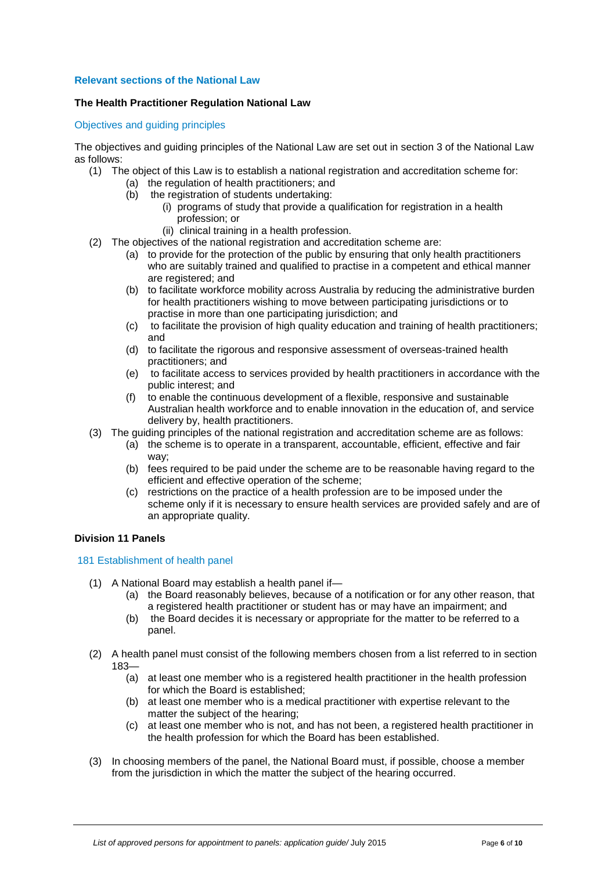#### **Relevant sections of the National Law**

#### **The Health Practitioner Regulation National Law**

#### Objectives and guiding principles

The objectives and guiding principles of the National Law are set out in section 3 of the National Law as follows:

- (1) The object of this Law is to establish a national registration and accreditation scheme for:
	- (a) the regulation of health practitioners; and
	- (b) the registration of students undertaking:
		- (i) programs of study that provide a qualification for registration in a health profession; or
		- (ii) clinical training in a health profession.
- (2) The objectives of the national registration and accreditation scheme are:
	- (a) to provide for the protection of the public by ensuring that only health practitioners who are suitably trained and qualified to practise in a competent and ethical manner are registered; and
	- (b) to facilitate workforce mobility across Australia by reducing the administrative burden for health practitioners wishing to move between participating jurisdictions or to practise in more than one participating jurisdiction; and
	- (c) to facilitate the provision of high quality education and training of health practitioners; and
	- (d) to facilitate the rigorous and responsive assessment of overseas-trained health practitioners; and
	- (e) to facilitate access to services provided by health practitioners in accordance with the public interest; and
	- (f) to enable the continuous development of a flexible, responsive and sustainable Australian health workforce and to enable innovation in the education of, and service delivery by, health practitioners.
- (3) The guiding principles of the national registration and accreditation scheme are as follows:
	- (a) the scheme is to operate in a transparent, accountable, efficient, effective and fair way;
		- (b) fees required to be paid under the scheme are to be reasonable having regard to the efficient and effective operation of the scheme;
		- (c) restrictions on the practice of a health profession are to be imposed under the scheme only if it is necessary to ensure health services are provided safely and are of an appropriate quality.

#### **Division 11 Panels**

#### 181 Establishment of health panel

- (1) A National Board may establish a health panel if—
	- (a) the Board reasonably believes, because of a notification or for any other reason, that a registered health practitioner or student has or may have an impairment; and
	- (b) the Board decides it is necessary or appropriate for the matter to be referred to a panel.
- (2) A health panel must consist of the following members chosen from a list referred to in section 183—
	- (a) at least one member who is a registered health practitioner in the health profession for which the Board is established;
	- (b) at least one member who is a medical practitioner with expertise relevant to the matter the subject of the hearing;
	- (c) at least one member who is not, and has not been, a registered health practitioner in the health profession for which the Board has been established.
- (3) In choosing members of the panel, the National Board must, if possible, choose a member from the jurisdiction in which the matter the subject of the hearing occurred.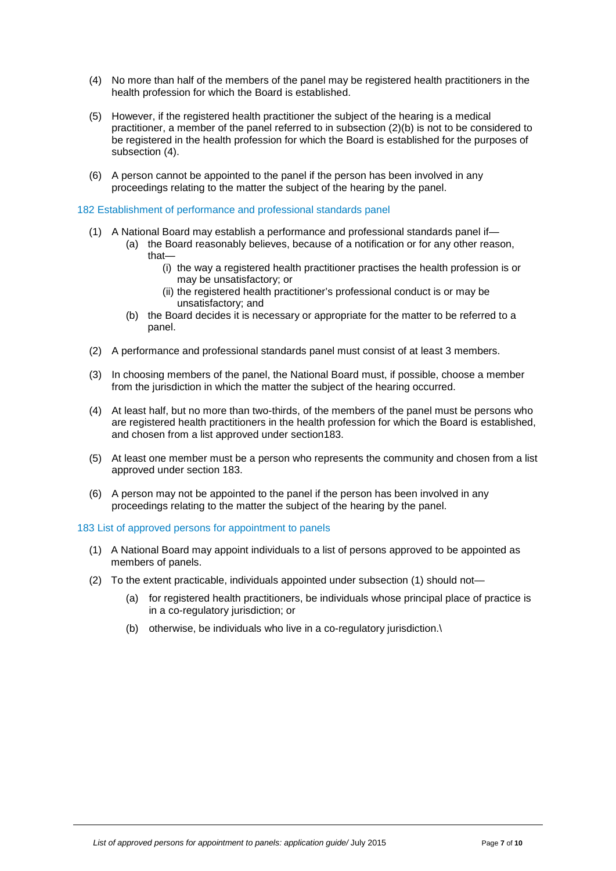- (4) No more than half of the members of the panel may be registered health practitioners in the health profession for which the Board is established.
- (5) However, if the registered health practitioner the subject of the hearing is a medical practitioner, a member of the panel referred to in subsection (2)(b) is not to be considered to be registered in the health profession for which the Board is established for the purposes of subsection (4).
- (6) A person cannot be appointed to the panel if the person has been involved in any proceedings relating to the matter the subject of the hearing by the panel.

#### 182 Establishment of performance and professional standards panel

- (1) A National Board may establish a performance and professional standards panel if—
	- (a) the Board reasonably believes, because of a notification or for any other reason, that—
		- (i) the way a registered health practitioner practises the health profession is or may be unsatisfactory; or
		- (ii) the registered health practitioner's professional conduct is or may be unsatisfactory; and
	- (b) the Board decides it is necessary or appropriate for the matter to be referred to a panel.
- (2) A performance and professional standards panel must consist of at least 3 members.
- (3) In choosing members of the panel, the National Board must, if possible, choose a member from the jurisdiction in which the matter the subject of the hearing occurred.
- (4) At least half, but no more than two-thirds, of the members of the panel must be persons who are registered health practitioners in the health profession for which the Board is established, and chosen from a list approved under section183.
- (5) At least one member must be a person who represents the community and chosen from a list approved under section 183.
- (6) A person may not be appointed to the panel if the person has been involved in any proceedings relating to the matter the subject of the hearing by the panel.

#### 183 List of approved persons for appointment to panels

- (1) A National Board may appoint individuals to a list of persons approved to be appointed as members of panels.
- (2) To the extent practicable, individuals appointed under subsection (1) should not—
	- (a) for registered health practitioners, be individuals whose principal place of practice is in a co-regulatory jurisdiction; or
	- (b) otherwise, be individuals who live in a co-regulatory jurisdiction.\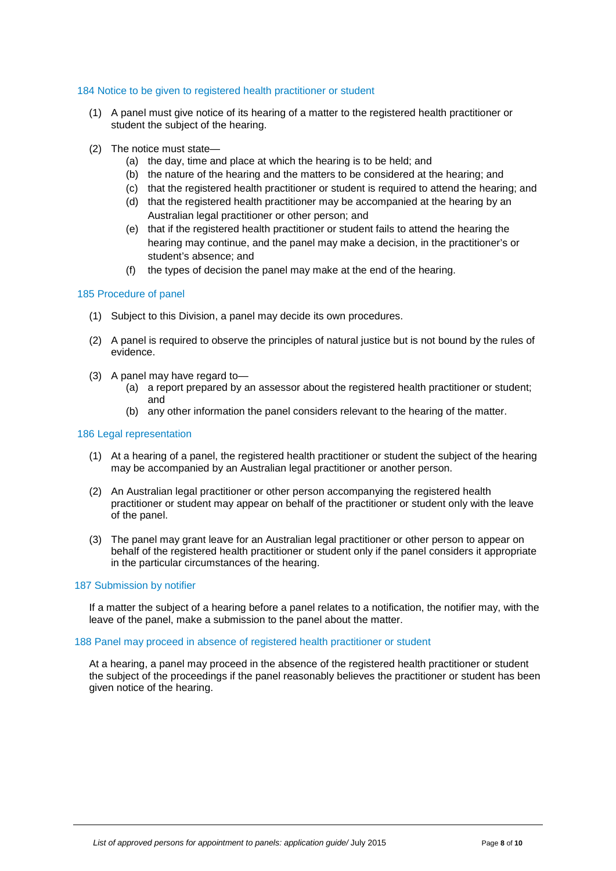#### 184 Notice to be given to registered health practitioner or student

- (1) A panel must give notice of its hearing of a matter to the registered health practitioner or student the subject of the hearing.
- (2) The notice must state—
	- (a) the day, time and place at which the hearing is to be held; and
	- (b) the nature of the hearing and the matters to be considered at the hearing; and
	- (c) that the registered health practitioner or student is required to attend the hearing; and
	- (d) that the registered health practitioner may be accompanied at the hearing by an Australian legal practitioner or other person; and
	- (e) that if the registered health practitioner or student fails to attend the hearing the hearing may continue, and the panel may make a decision, in the practitioner's or student's absence; and
	- (f) the types of decision the panel may make at the end of the hearing.

#### 185 Procedure of panel

- (1) Subject to this Division, a panel may decide its own procedures.
- (2) A panel is required to observe the principles of natural justice but is not bound by the rules of evidence.
- (3) A panel may have regard to—
	- (a) a report prepared by an assessor about the registered health practitioner or student; and
	- (b) any other information the panel considers relevant to the hearing of the matter.

#### 186 Legal representation

- (1) At a hearing of a panel, the registered health practitioner or student the subject of the hearing may be accompanied by an Australian legal practitioner or another person.
- (2) An Australian legal practitioner or other person accompanying the registered health practitioner or student may appear on behalf of the practitioner or student only with the leave of the panel.
- (3) The panel may grant leave for an Australian legal practitioner or other person to appear on behalf of the registered health practitioner or student only if the panel considers it appropriate in the particular circumstances of the hearing.

#### 187 Submission by notifier

If a matter the subject of a hearing before a panel relates to a notification, the notifier may, with the leave of the panel, make a submission to the panel about the matter.

#### 188 Panel may proceed in absence of registered health practitioner or student

At a hearing, a panel may proceed in the absence of the registered health practitioner or student the subject of the proceedings if the panel reasonably believes the practitioner or student has been given notice of the hearing.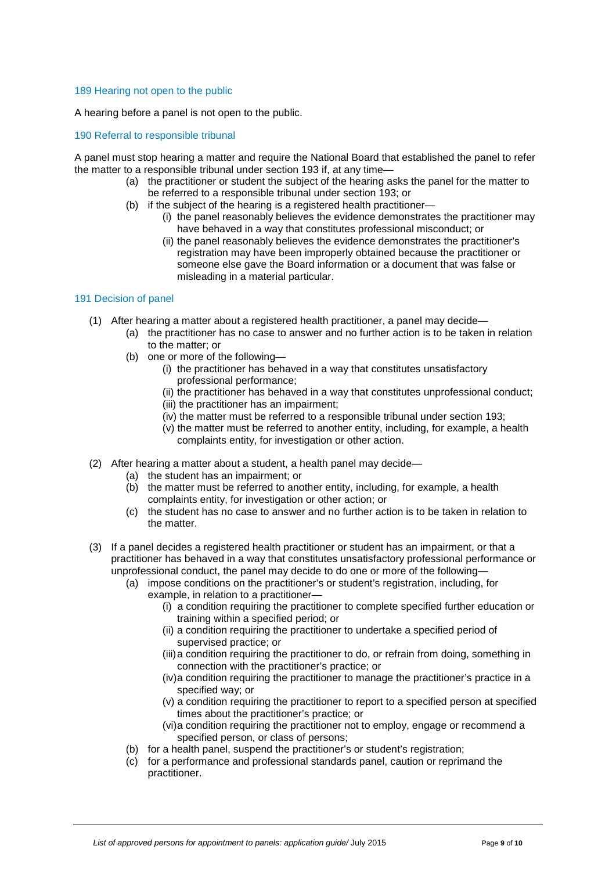#### 189 Hearing not open to the public

A hearing before a panel is not open to the public.

#### 190 Referral to responsible tribunal

A panel must stop hearing a matter and require the National Board that established the panel to refer the matter to a responsible tribunal under section 193 if, at any time—

- (a) the practitioner or student the subject of the hearing asks the panel for the matter to be referred to a responsible tribunal under section 193; or
- (b) if the subject of the hearing is a registered health practitioner—
	- (i) the panel reasonably believes the evidence demonstrates the practitioner may have behaved in a way that constitutes professional misconduct; or
	- (ii) the panel reasonably believes the evidence demonstrates the practitioner's registration may have been improperly obtained because the practitioner or someone else gave the Board information or a document that was false or misleading in a material particular.

#### 191 Decision of panel

- (1) After hearing a matter about a registered health practitioner, a panel may decide—
	- (a) the practitioner has no case to answer and no further action is to be taken in relation to the matter; or
	- (b) one or more of the following—
		- (i) the practitioner has behaved in a way that constitutes unsatisfactory professional performance;
		- (ii) the practitioner has behaved in a way that constitutes unprofessional conduct;
		- (iii) the practitioner has an impairment;
		- (iv) the matter must be referred to a responsible tribunal under section 193;
		- (v) the matter must be referred to another entity, including, for example, a health complaints entity, for investigation or other action.
- (2) After hearing a matter about a student, a health panel may decide—
	- (a) the student has an impairment; or
	- (b) the matter must be referred to another entity, including, for example, a health complaints entity, for investigation or other action; or
	- (c) the student has no case to answer and no further action is to be taken in relation to the matter.
- (3) If a panel decides a registered health practitioner or student has an impairment, or that a practitioner has behaved in a way that constitutes unsatisfactory professional performance or unprofessional conduct, the panel may decide to do one or more of the following—
	- (a) impose conditions on the practitioner's or student's registration, including, for example, in relation to a practitioner—
		- (i) a condition requiring the practitioner to complete specified further education or training within a specified period; or
		- (ii) a condition requiring the practitioner to undertake a specified period of supervised practice; or
		- (iii)a condition requiring the practitioner to do, or refrain from doing, something in connection with the practitioner's practice; or
		- (iv)a condition requiring the practitioner to manage the practitioner's practice in a specified way; or
		- (v) a condition requiring the practitioner to report to a specified person at specified times about the practitioner's practice; or
		- (vi)a condition requiring the practitioner not to employ, engage or recommend a specified person, or class of persons;
	- (b) for a health panel, suspend the practitioner's or student's registration;
	- (c) for a performance and professional standards panel, caution or reprimand the practitioner.